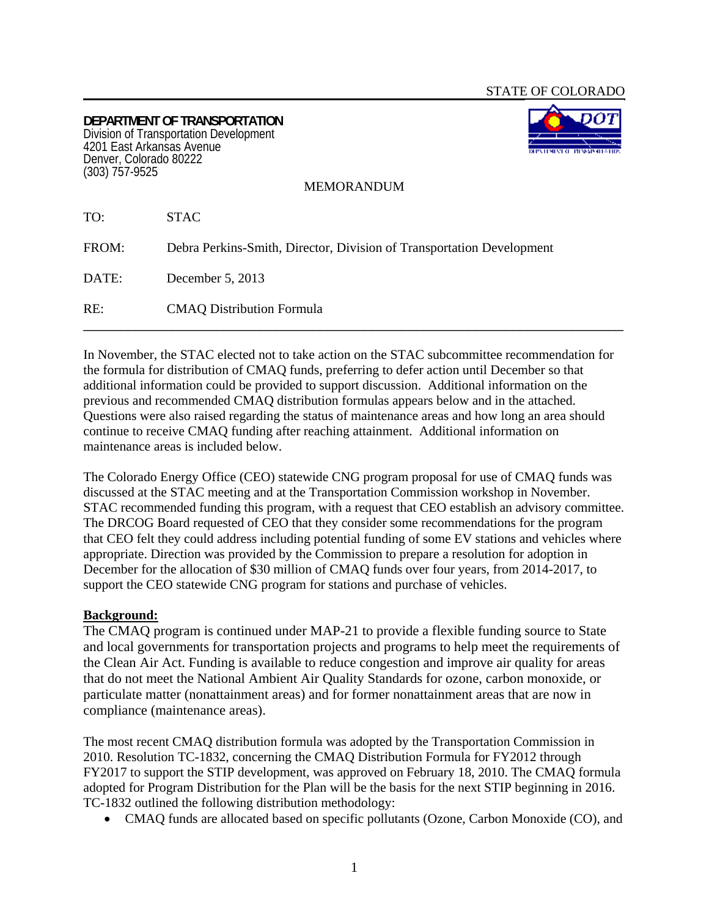**DEPARTMENT OF TRANSPORTATION**  Division of Transportation Development 4201 East Arkansas Avenue Denver, Colorado 80222 (303) 757-9525



MEMORANDUM

| TO:   | <b>STAC</b>                                                           |
|-------|-----------------------------------------------------------------------|
| FROM: | Debra Perkins-Smith, Director, Division of Transportation Development |
| DATE: | December $5, 2013$                                                    |
| RE:   | <b>CMAQ Distribution Formula</b>                                      |

In November, the STAC elected not to take action on the STAC subcommittee recommendation for the formula for distribution of CMAQ funds, preferring to defer action until December so that additional information could be provided to support discussion. Additional information on the previous and recommended CMAQ distribution formulas appears below and in the attached. Questions were also raised regarding the status of maintenance areas and how long an area should continue to receive CMAQ funding after reaching attainment. Additional information on maintenance areas is included below.

The Colorado Energy Office (CEO) statewide CNG program proposal for use of CMAQ funds was discussed at the STAC meeting and at the Transportation Commission workshop in November. STAC recommended funding this program, with a request that CEO establish an advisory committee. The DRCOG Board requested of CEO that they consider some recommendations for the program that CEO felt they could address including potential funding of some EV stations and vehicles where appropriate. Direction was provided by the Commission to prepare a resolution for adoption in December for the allocation of \$30 million of CMAQ funds over four years, from 2014-2017, to support the CEO statewide CNG program for stations and purchase of vehicles.

## **Background:**

The CMAQ program is continued under MAP-21 to provide a flexible funding source to State and local governments for transportation projects and programs to help meet the requirements of the Clean Air Act. Funding is available to reduce congestion and improve air quality for areas that do not meet the National Ambient Air Quality Standards for ozone, carbon monoxide, or particulate matter (nonattainment areas) and for former nonattainment areas that are now in compliance (maintenance areas).

The most recent CMAQ distribution formula was adopted by the Transportation Commission in 2010. Resolution TC-1832, concerning the CMAQ Distribution Formula for FY2012 through FY2017 to support the STIP development, was approved on February 18, 2010. The CMAQ formula adopted for Program Distribution for the Plan will be the basis for the next STIP beginning in 2016. TC-1832 outlined the following distribution methodology:

CMAQ funds are allocated based on specific pollutants (Ozone, Carbon Monoxide (CO), and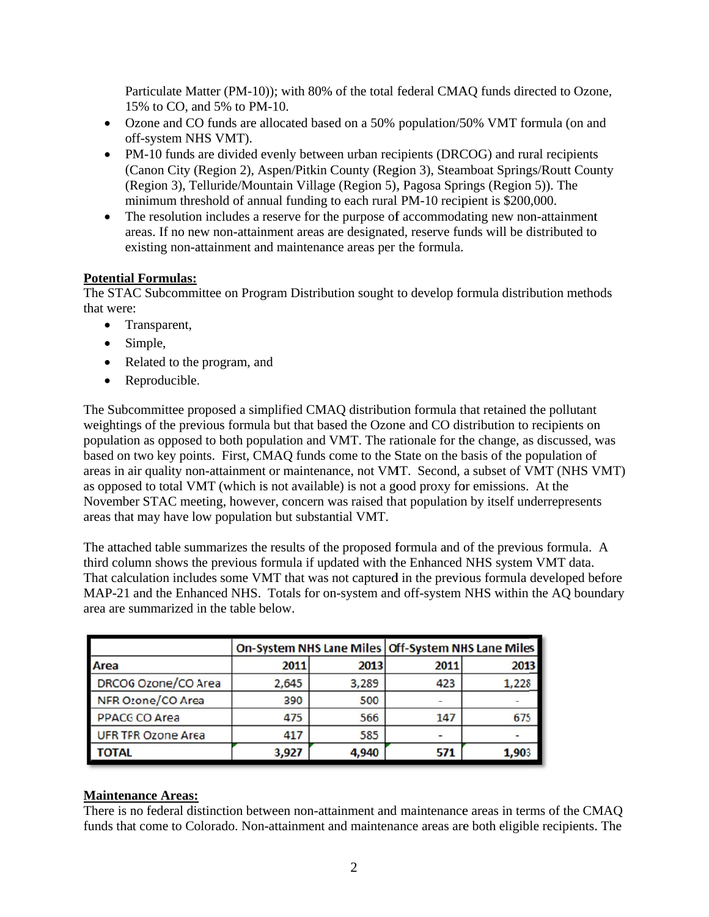Particulate Matter (PM-10)); with 80% of the total federal CMAQ funds directed to Ozone, 15% to CO, and 5% to PM-10.

- Ozone and CO funds are allocated based on a 50% population/50% VMT formula (on and off-system NHS VMT).
- PM-10 funds are divided evenly between urban recipients (DRCOG) and rural recipients (Canon City (Region 2), Aspen/Pitkin County (Region 3), Steamboat Springs/Routt County (Region 3), Telluride/Mountain Village (Region 5), Pagosa Springs (Region 5)). The minimum threshold of annual funding to each rural PM-10 recipient is \$200,000.
- The resolution includes a reserve for the purpose of accommodating new non-attainment  $\bullet$ areas. If no new non-attainment areas are designated, reserve funds will be distributed to existing non-attainment and maintenance areas per the formula.

## **Potential Formulas:**

The STAC Subcommittee on Program Distribution sought to develop formula distribution methods that were:

- Transparent,
- $\bullet$  Simple,
- Related to the program, and
- Reproducible.

The Subcommittee proposed a simplified CMAQ distribution formula that retained the pollutant weightings of the previous formula but that based the Ozone and CO distribution to recipients on population as opposed to both population and VMT. The rationale for the change, as discussed, was based on two key points. First, CMAQ funds come to the State on the basis of the population of areas in air quality non-attainment or maintenance, not VMT. Second, a subset of VMT (NHS VMT) as opposed to total VMT (which is not available) is not a good proxy for emissions. At the November STAC meeting, however, concern was raised that population by itself underrepresents areas that may have low population but substantial VMT.

The attached table summarizes the results of the proposed formula and of the previous formula. A third column shows the previous formula if updated with the Enhanced NHS system VMT data. That calculation includes some VMT that was not captured in the previous formula developed before MAP-21 and the Enhanced NHS. Totals for on-system and off-system NHS within the AO boundary area are summarized in the table below.

|                           |       |       | On-System NHS Lane Miles Off-System NHS Lane Miles |       |
|---------------------------|-------|-------|----------------------------------------------------|-------|
| Area                      | 2011  | 2013  | 2011                                               | 2013  |
| DRCOG Ozone/CO Area       | 2,645 | 3,289 | 423                                                | 1,228 |
| NFR Ozone/CO Area         | 390   | 500   |                                                    |       |
| <b>PPACGCO Area</b>       | 475   | 566   | 147                                                | 675   |
| <b>UFR TPR Ozone Area</b> | 417   | 585   |                                                    |       |
| TOTAL                     | 3,927 | 4,940 | 571                                                | 1,90. |

## **Maintenance Areas:**

There is no federal distinction between non-attainment and maintenance areas in terms of the CMAQ funds that come to Colorado. Non-attainment and maintenance areas are both eligible recipients. The